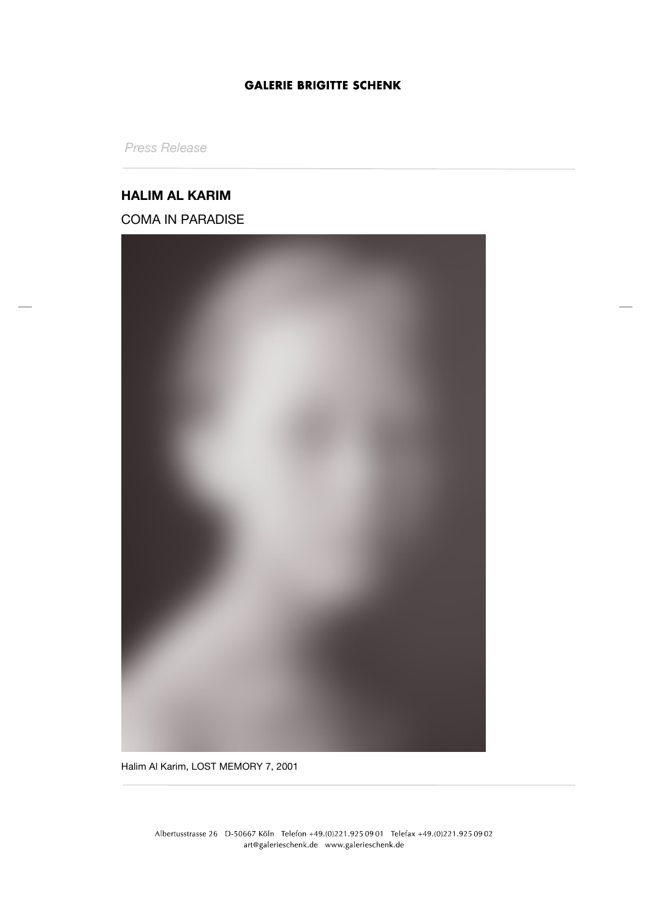# **GALERIE BRIGITTE SCHENK**

*Press Release*

### **HALIM AL KARIM**

COMA IN PARADISE



Halim Al Karim, LOST MEMORY 7, 2001

Albertusstrasse 26 D-50667 Köln Telefon +49.(0)221.925 09 01 Telefax +49.(0)221.925 09 02 art@galerieschenk.de www.galerieschenk.de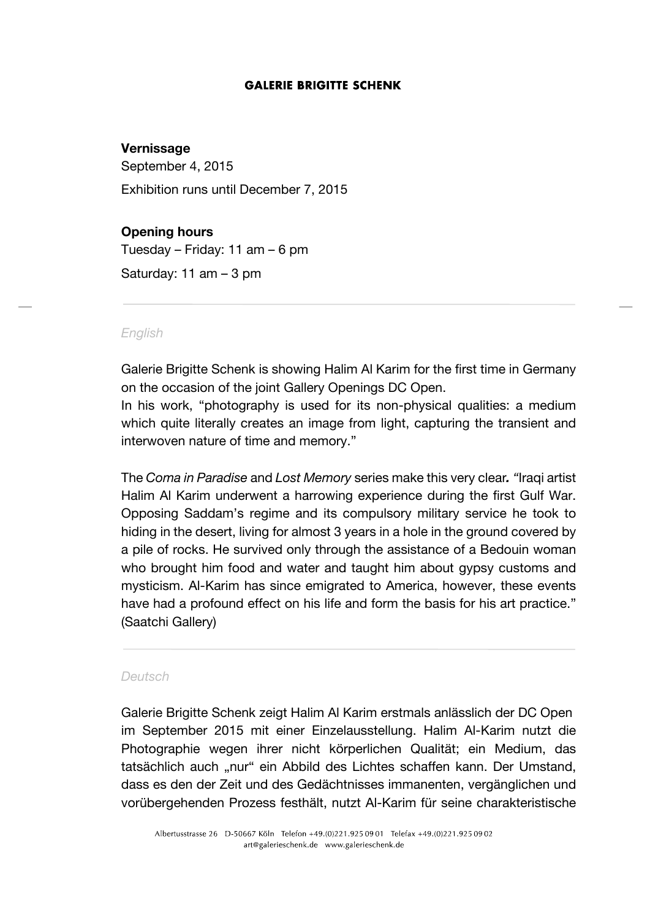### **GALERIE BRIGITTE SCHENK**

## **Vernissage**

September 4, 2015

Exhibition runs until December 7, 2015

# **Opening hours**

Tuesday – Friday: 11 am – 6 pm

Saturday: 11 am – 3 pm

#### *English*

Galerie Brigitte Schenk is showing Halim Al Karim for the first time in Germany on the occasion of the joint Gallery Openings DC Open.

In his work, "photography is used for its non-physical qualities: a medium which quite literally creates an image from light, capturing the transient and interwoven nature of time and memory."

The *Coma in Paradise* and *Lost Memory* series make this very clear*. "*Iraqi artist Halim Al Karim underwent a harrowing experience during the first Gulf War. Opposing Saddam's regime and its compulsory military service he took to hiding in the desert, living for almost 3 years in a hole in the ground covered by a pile of rocks. He survived only through the assistance of a Bedouin woman who brought him food and water and taught him about gypsy customs and mysticism. Al-Karim has since emigrated to America, however, these events have had a profound effect on his life and form the basis for his art practice." (Saatchi Gallery)

### *Deutsch*

Galerie Brigitte Schenk zeigt Halim Al Karim erstmals anlässlich der DC Open im September 2015 mit einer Einzelausstellung. Halim Al-Karim nutzt die Photographie wegen ihrer nicht körperlichen Qualität; ein Medium, das tatsächlich auch "nur" ein Abbild des Lichtes schaffen kann. Der Umstand, dass es den der Zeit und des Gedächtnisses immanenten, vergänglichen und vorübergehenden Prozess festhält, nutzt Al-Karim für seine charakteristische